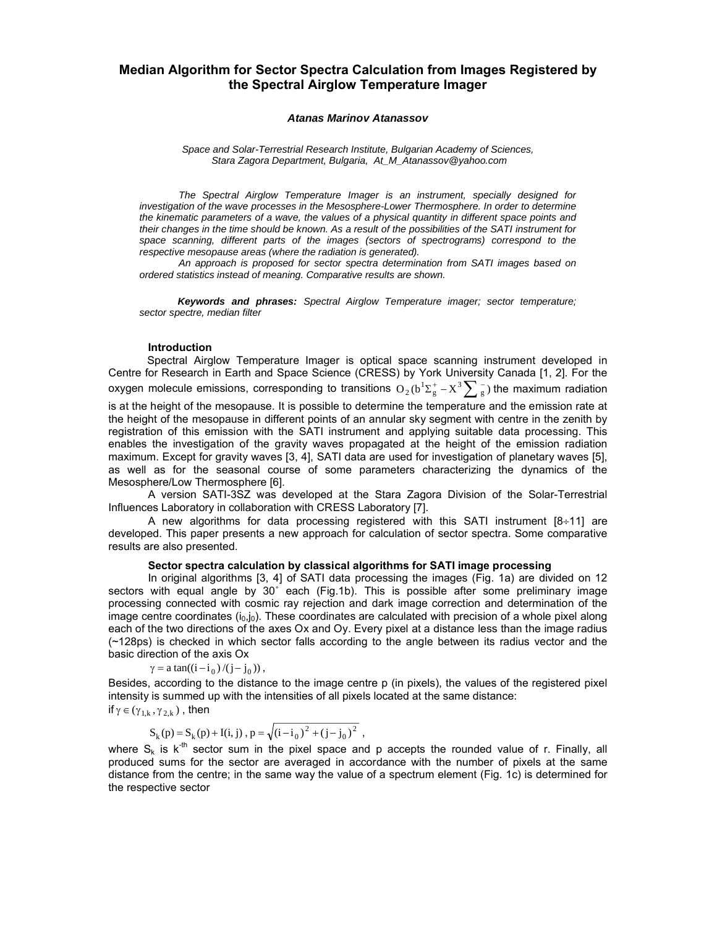# **Median Algorithm for Sector Spectra Calculation from Images Registered by the Spectral Airglow Temperature Imager**

#### *Atanas Marinov Atanassov*

*Space and Solar-Terrestrial Research Institute, Bulgarian Academy of Sciences, Stara Zagora Department, Bulgaria, At\_M\_Atanassov@yahoo.com*

*The Spectral Airglow Temperature Imager is an instrument, specially designed for investigation of the wave processes in the Mesosphere-Lower Thermosphere. In order to determine the kinematic parameters of a wave, the values of a physical quantity in different space points and their changes in the time should be known. As a result of the possibilities of the SATI instrument for*  space scanning, different parts of the images (sectors of spectrograms) correspond to the *respective mesopause areas (where the radiation is generated).*

*An approach is proposed for sector spectra determination from SATI images based on ordered statistics instead of meaning. Comparative results are shown.* 

*Keywords and phrases: Spectral Airglow Temperature imager; sector temperature; sector spectre, median filter*

#### **Introduction**

Spectral Airglow Temperature Imager is optical space scanning instrument developed in Centre for Research in Earth and Space Science (CRESS) by York University Canada [1, 2]. For the oxygen molecule emissions, corresponding to transitions  $\mathrm{O}_2(\rm b^1\Sigma_g^+ - \rm X^3\sum_g^-)$  the maximum radiation is at the height of the mesopause. It is possible to determine the temperature and the emission rate at the height of the mesopause in different points of an annular sky segment with centre in the zenith by registration of this emission with the SATI instrument and applying suitable data processing. This enables the investigation of the gravity waves propagated at the height of the emission radiation maximum. Except for gravity waves [3, 4], SATI data are used for investigation of planetary waves [5], as well as for the seasonal course of some parameters characterizing the dynamics of the Mesosphere/Low Thermosphere [6].

A version SATI-3SZ was developed at the Stara Zagora Division of the Solar-Terrestrial Influences Laboratory in collaboration with CRESS Laboratory [7].

A new algorithms for data processing registered with this SATI instrument  $[8+11]$  are developed. This paper presents a new approach for calculation of sector spectra. Some comparative results are also presented.

## **Sector spectra calculation by classical algorithms for SATI image processing**

In original algorithms [3, 4] of SATI data processing the images (Fig. 1a) are divided on 12 sectors with equal angle by 30° each (Fig.1b). This is possible after some preliminary image processing connected with cosmic ray rejection and dark image correction and determination of the image centre coordinates  $(i_0, j_0)$ . These coordinates are calculated with precision of a whole pixel along each of the two directions of the axes Ox and Oy. Every pixel at a distance less than the image radius (~128ps) is checked in which sector falls according to the angle between its radius vector and the basic direction of the axis Ox

 $\gamma = a \tan((i - i_0) / (j - j_0))$ ,

Besides, according to the distance to the image centre p (in pixels), the values of the registered pixel intensity is summed up with the intensities of all pixels located at the same distance:

if  $\gamma \in (\gamma_{1 k}, \gamma_{2 k})$ , then

$$
S_k(p) = S_k(p) + I(i, j), p = \sqrt{(i - i_0)^2 + (j - j_0)^2}
$$
,

where  $S_k$  is  $k^{th}$  sector sum in the pixel space and p accepts the rounded value of r. Finally, all produced sums for the sector are averaged in accordance with the number of pixels at the same distance from the centre; in the same way the value of a spectrum element (Fig. 1c) is determined for the respective sector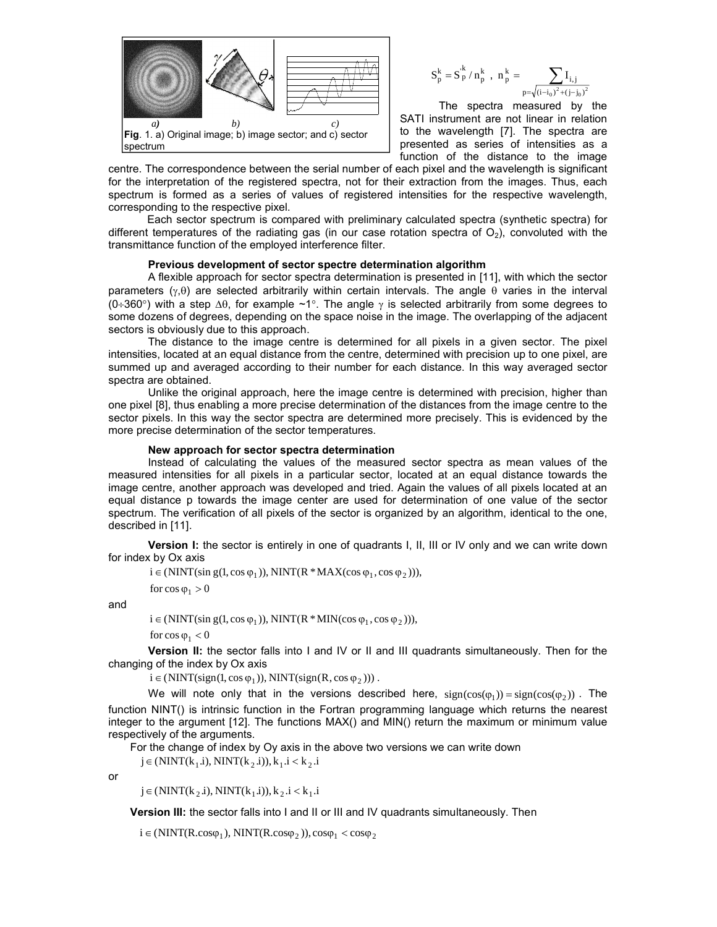

$$
S_p^k = S_p^{\cdot k} \mathbin{/} n_p^k \;\; , \;\; n_p^{\,k} = \sum_{p = \sqrt{(i-i_0)^2 + (j-j_0)^2}}
$$

The spectra measured by the SATI instrument are not linear in relation to the wavelength [7]. The spectra are presented as series of intensities as a function of the distance to the image

centre. The correspondence between the serial number of each pixel and the wavelength is significant for the interpretation of the registered spectra, not for their extraction from the images. Thus, each spectrum is formed as a series of values of registered intensities for the respective wavelength, corresponding to the respective pixel.

Each sector spectrum is compared with preliminary calculated spectra (synthetic spectra) for different temperatures of the radiating gas (in our case rotation spectra of  $O_2$ ), convoluted with the transmittance function of the employed interference filter.

### **Previous development of sector spectre determination algorithm**

A flexible approach for sector spectra determination is presented in [11], with which the sector parameters  $(y, \theta)$  are selected arbitrarily within certain intervals. The angle  $\theta$  varies in the interval (0÷360°) with a step  $\Delta\theta$ , for example ~1°. The angle  $\gamma$  is selected arbitrarily from some degrees to some dozens of degrees, depending on the space noise in the image. The overlapping of the adjacent sectors is obviously due to this approach.

The distance to the image centre is determined for all pixels in a given sector. The pixel intensities, located at an equal distance from the centre, determined with precision up to one pixel, are summed up and averaged according to their number for each distance. In this way averaged sector spectra are obtained.

Unlike the original approach, here the image centre is determined with precision, higher than one pixel [8], thus enabling a more precise determination of the distances from the image centre to the sector pixels. In this way the sector spectra are determined more precisely. This is evidenced by the more precise determination of the sector temperatures.

### **New approach for sector spectrа determination**

Instead of calculating the values of the measured sector spectra as mean values of the measured intensities for all pixels in a particular sector, located at an equal distance towards the image centre, another approach was developed and tried. Again the values of all pixels located at an equal distance p towards the image center are used for determination of one value of the sector spectrum. The verification of all pixels of the sector is organized by an algorithm, identical to the one, described in [11].

**Version I:** the sector is entirely in one of quadrants I, II, III or IV only and we can write down for index by Ox axis

 $i \in (NINT(\sin g(1, \cos \varphi_1)), NINT(R * MAX(\cos \varphi_1, \cos \varphi_2))),$ 

for  $\cos \varphi_1 > 0$ 

and

```
i \in (NINT(\sin g(1, \cos \varphi_1)), NINT(R * MIN(\cos \varphi_1, \cos \varphi_2))),
```
for  $\cos \varphi_1 < 0$ 

**Version II:** the sector falls into I and IV or II and III quadrants simultaneously. Then for the changing of the index by Ox axis

 $i \in (NINT(sign(1, cos \varphi_1)), NINT(sign(R, cos \varphi_2)))$ .

We will note only that in the versions described here,  $sign(cos(\varphi_1)) = sign(cos(\varphi_2))$ . The function NINT() is intrinsic function in the Fortran programming language which returns the nearest integer to the argument [12]. The functions MAX() and MIN() return the maximum or minimum value respectively of the arguments.

For the change of index by Oy axis in the above two versions we can write down  $j \in (NINT(k_1.i), NINT(k_2.i)), k_1.i < k_2.i$ 

or

 $j \in (NINT(k_2, i), NINT(k_1, i)), k_2, i < k_1, i$ 

**Version III:** the sector falls into I and II or III and IV quadrants simultaneously. Then

 $i \in (NINT(R.cos\varphi_1), NINT(R.cos\varphi_2)), cos\varphi_1 < cos\varphi_2$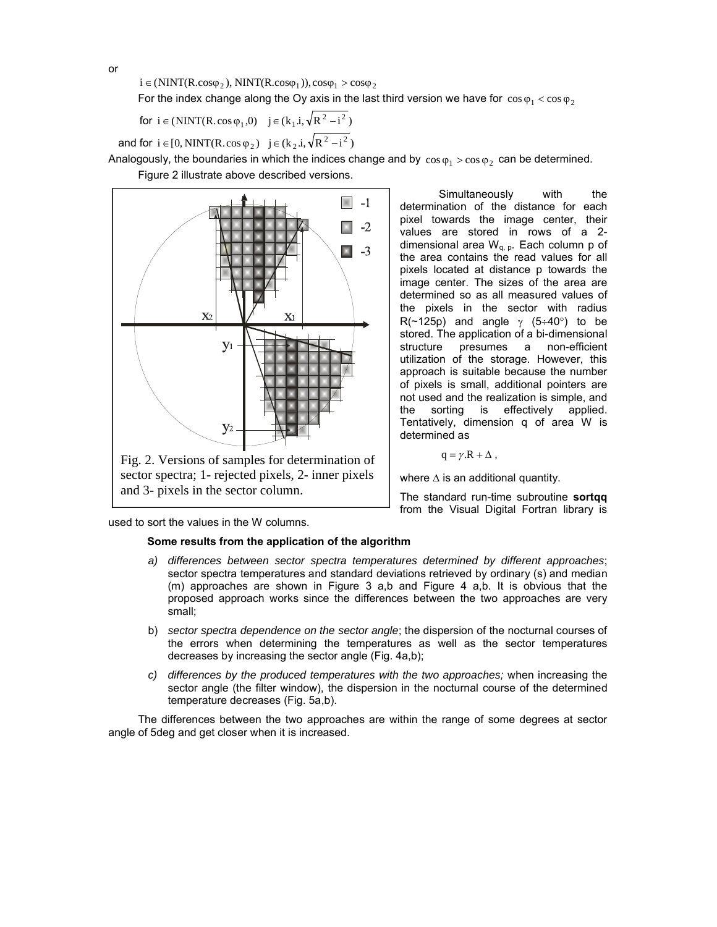$i \in (NINT(R.cos\varphi_2), NINT(R.cos\varphi_1)), cos\varphi_1 > cos\varphi_2$ 

For the index change along the Oy axis in the last third version we have for  $\cos \varphi_1 < \cos \varphi_2$ 

for  $i \in (NINT(R \cdot cos \varphi_1, 0)$   $j \in (k_1 \cdot i, \sqrt{R^2 - i^2})$ 

and for  $i \in [0, NINT(R \cdot cos \varphi_2)$   $j \in (k_2, i, \sqrt{R^2 - i^2})$ 

Analogously, the boundaries in which the indices change and by  $\cos \varphi_1 > \cos \varphi_2$  can be determined.

Figure 2 illustrate above described versions.



Simultaneously with the determination of the distance for each pixel towards the image center, their values are stored in rows of a 2 dimensional area  $W_{q, p}$ . Each column p of the area contains the read values for all pixels located at distance p towards the image center. The sizes of the area are determined so as all measured values of the pixels in the sector with radius R(~125p) and angle  $\gamma$  (5÷40°) to be stored. The application of a bi-dimensional structure presumes a non-efficient utilization of the storage. However, this approach is suitable because the number of pixels is small, additional pointers are not used and the realization is simple, and the sorting is effectively applied. Tentatively, dimension q of area W is determined as

$$
q = \gamma.R + \Delta ,
$$

where  $\Delta$  is an additional quantity.

The standard run-time subroutine **sortqq** from the Visual Digital Fortran library is

used to sort the values in the W columns.

### **Some results from the application of the algorithm**

- *a) differences between sector spectra temperatures determined by different approaches*; sector spectra temperatures and standard deviations retrieved by ordinary (s) and median (m) approaches are shown in Figure 3 a,b and Figure 4 a,b. It is obvious that the proposed approach works since the differences between the two approaches are very small;
- b) *sector spectra dependence on the sector angle*; the dispersion of the nocturnal courses of the errors when determining the temperatures as well as the sector temperatures decreases by increasing the sector angle (Fig. 4a,b);
- *c) differences by the produced temperatures with the two approaches;* when increasing the sector angle (the filter window), the dispersion in the nocturnal course of the determined temperature decreases (Fig. 5a,b).

The differences between the two approaches are within the range of some degrees at sector angle of 5deg and get closer when it is increased.

or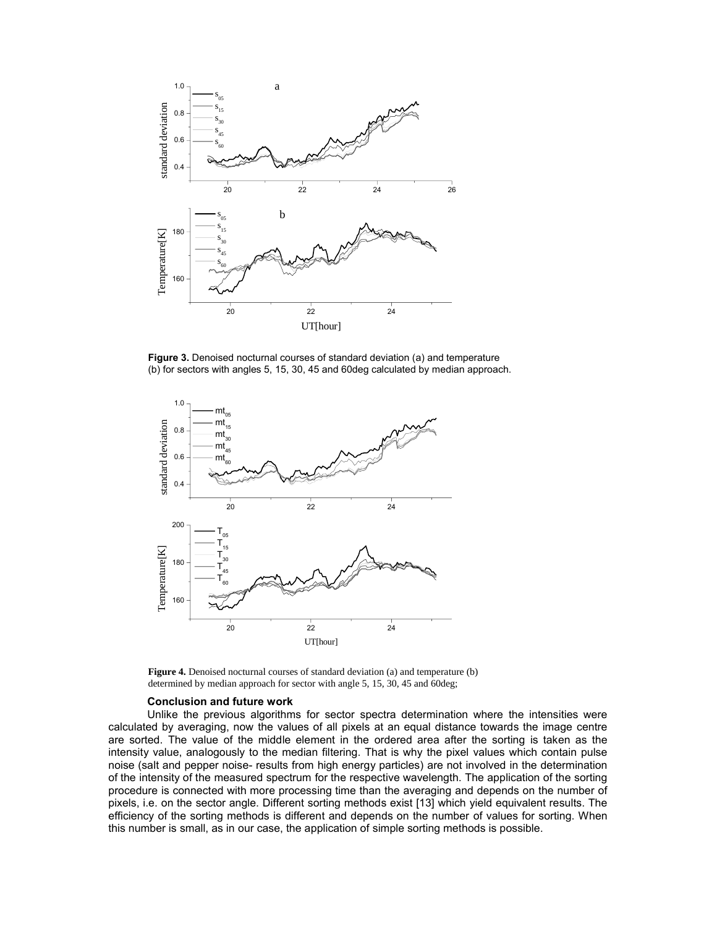

**Figure 3.** Denoised nocturnal courses of standard deviation (a) and temperature (b) for sectors with angles 5, 15, 30, 45 and 60deg calculated by median approach.



**Figure 4.** Denoised nocturnal courses of standard deviation (a) and temperature (b) determined by median approach for sector with angle 5, 15, 30, 45 and 60deg;

### **Conclusion and future work**

Unlike the previous algorithms for sector spectra determination where the intensities were calculated by averaging, now the values of all pixels at an equal distance towards the image centre are sorted. The value of the middle element in the ordered area after the sorting is taken as the intensity value, analogously to the median filtering. That is why the pixel values which contain pulse noise (salt and pepper noise- results from high energy particles) are not involved in the determination of the intensity of the measured spectrum for the respective wavelength. The application of the sorting procedure is connected with more processing time than the averaging and depends on the number of pixels, i.e. on the sector angle. Different sorting methods exist [13] which yield equivalent results. The efficiency of the sorting methods is different and depends on the number of values for sorting. When this number is small, as in our case, the application of simple sorting methods is possible.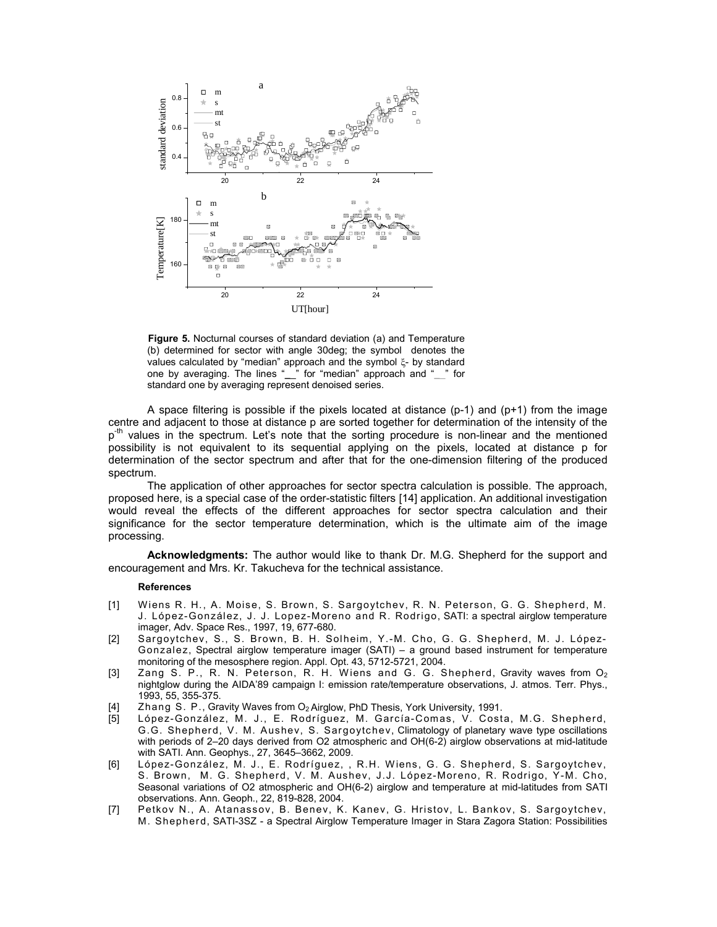

**Figure 5.** Nocturnal courses of standard deviation (a) and Temperature (b) determined for sector with angle 30deg; the symbol denotes the values calculated by "median" approach and the symbol  $\xi$ - by standard one by averaging. The lines "**\_**\_" for "median" approach and "**\_**\_" for standard one by averaging represent denoised series.

A space filtering is possible if the pixels located at distance  $(p-1)$  and  $(p+1)$  from the image centre and adjacent to those at distance p are sorted together for determination of the intensity of the  $p<sup>th</sup>$  values in the spectrum. Let's note that the sorting procedure is non-linear and the mentioned possibility is not equivalent to its sequential applying on the pixels, located at distance p for determination of the sector spectrum and after that for the one-dimension filtering of the produced spectrum.

The application of other approaches for sector spectra calculation is possible. The approach, proposed here, is a special case of the order-statistic filters [14] application. An additional investigation would reveal the effects of the different approaches for sector spectra calculation and their significance for the sector temperature determination, which is the ultimate aim of the image processing.

**Acknowledgments:** The author would like to thank Dr. M.G. Shepherd for the support and encouragement and Mrs. Kr. Takucheva for the technical assistance.

#### **References**

- [1] Wiens R. H., A. Moise, S. Brown, S. Sargoytchev, R. N. Peterson, G. G. Shepherd, M. J. López-González, J. J. Lopez-Moreno and R. Rodrigo, SATI: a spectral airglow temperature imager, Adv. Space Res., 1997, 19, 677-680.
- [2] Sargoytchev, S., S. Brown, B. H. Solheim, Y.-M. Cho, G. G. Shepherd, M. J. López-Gonzalez, Spectral airglow temperature imager (SATI) – a ground based instrument for temperature monitoring of the mesosphere region. Appl. Opt. 43, 5712-5721, 2004.
- [3] Zang S. P., R. N. Peterson, R. H. Wiens and G. G. Shepherd, Gravity waves from  $O_2$ nightglow during the AIDA'89 campaign I: emission rate/temperature observations, J. atmos. Terr. Phys., 1993, 55, 355-375.
- [4] Zhang S. P., Gravity Waves from O<sub>2</sub> Airglow, PhD Thesis, York University, 1991.
- [5] López-González, M. J., E. Rodríguez, M. García-Comas, V. Costa, M.G. Shepherd, G.G. Shepherd, V. M. Aushev, S. Sargoytchev, Climatology of planetary wave type oscillations with periods of 2–20 days derived from O2 atmospheric and OH(6-2) airglow observations at mid-latitude with SATI. Ann. Geophys., 27, 3645–3662, 2009.
- [6] López-González, M. J., E. Rodríguez, , R.H. W iens, G. G. Shepherd, S. Sargoytchev, S. Brown, M. G. Shepherd, V. M. Aushev, J.J. López-Moreno, R. Rodrigo, Y-M. Cho, Seasonal variations of O2 atmospheric and OH(6-2) airglow and temperature at mid-latitudes from SATI observations. Ann. Geoph., 22, 819-828, 2004.
- [7] Petkov N., A. Atanassov, B. Benev, K. Kanev, G. Hristov, L. Bankov, S. Sargoytchev, M. Shepherd, SATI-3SZ - a Spectral Airglow Temperature Imager in Stara Zagora Station: Possibilities